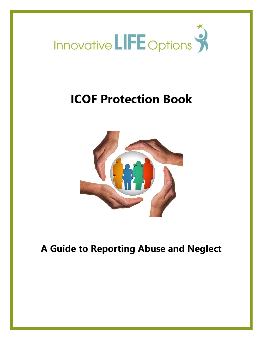

# **ICOF Protection Book**



# **A Guide to Reporting Abuse and Neglect**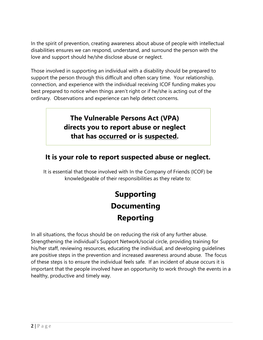In the spirit of prevention, creating awareness about abuse of people with intellectual disabilities ensures we can respond, understand, and surround the person with the love and support should he/she disclose abuse or neglect.

Those involved in supporting an individual with a disability should be prepared to support the person through this difficult and often scary time. Your relationship, connection, and experience with the individual receiving ICOF funding makes you best prepared to notice when things aren't right or if he/she is acting out of the ordinary. Observations and experience can help detect concerns.

# **The Vulnerable Persons Act (VPA) directs you to report abuse or neglect that has occurred or is suspected.**

## **It is your role to report suspected abuse or neglect.**

It is essential that those involved with In the Company of Friends (ICOF) be knowledgeable of their responsibilities as they relate to:

# **Supporting Documenting Reporting**

In all situations, the focus should be on reducing the risk of any further abuse. Strengthening the individual's Support Network/social circle, providing training for his/her staff, reviewing resources, educating the individual, and developing guidelines are positive steps in the prevention and increased awareness around abuse. The focus of these steps is to ensure the individual feels safe. If an incident of abuse occurs it is important that the people involved have an opportunity to work through the events in a healthy, productive and timely way.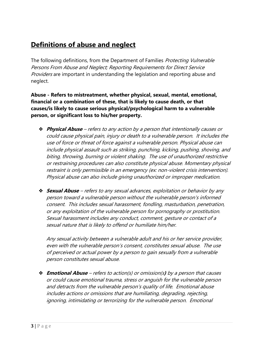## **Definitions of abuse and neglect**

The following definitions, from the Department of Families *Protecting Vulnerable* Persons From Abuse and Neglect; Reporting Requirements for Direct Service Providers are important in understanding the legislation and reporting abuse and neglect.

**Abuse - Refers to mistreatment, whether physical, sexual, mental, emotional, financial or a combination of these, that is likely to cause death, or that causes/is likely to cause serious physical/psychological harm to a vulnerable person, or significant loss to his/her property.**

- ❖ **Physical Abuse** refers to any action by a person that intentionally causes or could cause physical pain, injury or death to a vulnerable person. It includes the use of force or threat of force against a vulnerable person. Physical abuse can include physical assault such as striking, punching, kicking, pushing, shoving, and biting, throwing, burning or violent shaking. The use of unauthorized restrictive or restraining procedures can also constitute physical abuse. Momentary physical restraint is only permissible in an emergency (ex: non-violent crisis intervention). Physical abuse can also include giving unauthorized or improper medication.
- ❖ **Sexual Abuse** refers to any sexual advances, exploitation or behavior by any person toward a vulnerable person without the vulnerable person's informed consent. This includes sexual harassment, fondling, masturbation, penetration, or any exploitation of the vulnerable person for pornography or prostitution. Sexual harassment includes any conduct, comment, gesture or contact of a sexual nature that is likely to offend or humiliate him/her.

Any sexual activity between a vulnerable adult and his or her service provider, even with the vulnerable person's consent, constitutes sexual abuse. The use of perceived or actual power by a person to gain sexually from a vulnerable person constitutes sexual abuse.

❖ **Emotional Abuse** – refers to action(s) or omission(s**)** by a person that causes or could cause emotional trauma, stress or anguish for the vulnerable person and detracts from the vulnerable person's quality of life. Emotional abuse includes actions or omissions that are humiliating, degrading, rejecting, ignoring, intimidating or terrorizing for the vulnerable person. Emotional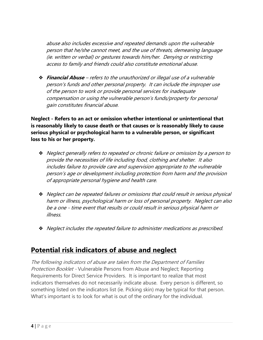abuse also includes excessive and repeated demands upon the vulnerable person that he/she cannot meet, and the use of threats, demeaning language (ie. written or verbal) or gestures towards him/her. Denying or restricting access to family and friends could also constitute emotional abuse.

❖ **Financial Abuse** – refers to the unauthorized or illegal use of a vulnerable person's funds and other personal property. It can include the improper use of the person to work or provide personal services for inadequate compensation or using the vulnerable person's funds/property for personal gain constitutes financial abuse.

**Neglect - Refers to an act or omission whether intentional or unintentional that is reasonably likely to cause death or that causes or is reasonably likely to cause serious physical or psychological harm to a vulnerable person, or significant loss to his or her property.**

- ❖ Neglect generally refers to repeated or chronic failure or omission by a person to provide the necessities of life including food, clothing and shelter. It also includes failure to provide care and supervision appropriate to the vulnerable person's age or development including protection from harm and the provision of appropriate personal hygiene and health care.
- ❖ Neglect can be repeated failures or omissions that could result in serious physical harm or illness, psychological harm or loss of personal property. Neglect can also be a one - time event that results or could result in serious physical harm or illness.
- ❖ Neglect includes the repeated failure to administer medications as prescribed.

## **Potential risk indicators of abuse and neglect**

The following indicators of abuse are taken from the Department of Families Protection Booklet - Vulnerable Persons from Abuse and Neglect; Reporting Requirements for Direct Service Providers. It is important to realize that most indicators themselves do not necessarily indicate abuse. Every person is different, so something listed on the indicators list (ie. Picking skin) may be typical for that person. What's important is to look for what is out of the ordinary for the individual.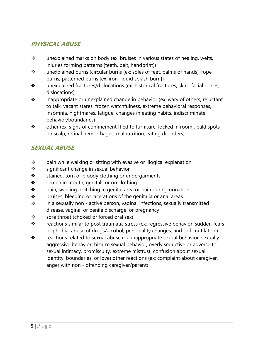## **PHYSICAL ABUSE**

- ❖ unexplained marks on body (ex: bruises in various states of healing, welts, injuries forming patterns [teeth, belt, handprint])
- ❖ unexplained burns (circular burns [ex: soles of feet, palms of hands], rope burns, patterned burns [ex: iron, liquid splash burn])
- ❖ unexplained fractures/dislocations (ex: historical fractures, skull, facial bones, dislocations)
- ❖ inappropriate or unexplained change in behavior (ex: wary of others, reluctant to talk, vacant stares, frozen watchfulness, extreme behavioral responses, insomnia, nightmares, fatigue, changes in eating habits, indiscriminate behavior/boundaries)
- ❖ other (ex: signs of confinement [tied to furniture, locked in room], bald spots on scalp, retinal hemorrhages, malnutrition, eating disorders)

## **SEXUAL ABUSE**

- ❖ pain while walking or sitting with evasive or illogical explanation
- ❖ significant change in sexual behavior
- ❖ stained, torn or bloody clothing or undergarments
- ❖ semen in mouth, genitals or on clothing
- ❖ pain, swelling or itching in genital area or pain during urination
- ❖ bruises, bleeding or lacerations of the genitalia or anal areas
- ❖ in a sexually non active person, vaginal infections, sexually transmitted disease, vaginal or penile discharge, or pregnancy
- ❖ sore throat (choked or forced oral sex)
- \* reactions similar to post traumatic stress (ex: regressive behavior, sudden fears or phobia, abuse of drugs/alcohol, personality changes, and self-mutilation)
- ❖ reactions related to sexual abuse (ex: inappropriate sexual behavior, sexually aggressive behavior, bizarre sexual behavior, overly seductive or adverse to sexual intimacy, promiscuity, extreme mistrust, confusion about sexual identity, boundaries, or love) other reactions (ex: complaint about caregiver, anger with non - offending caregiver/parent)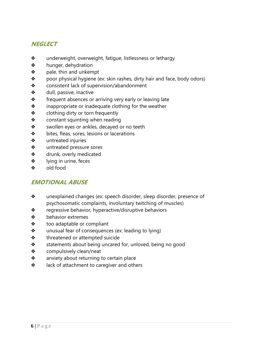## **NEGLECT**

- ❖ underweight, overweight, fatigue, listlessness or lethargy
- ❖ hunger, dehydration
- ❖ pale, thin and unkempt
- ❖ poor physical hygiene (ex: skin rashes, dirty hair and face, body odors)
- ❖ consistent lack of supervision/abandonment
- ❖ dull, passive, inactive
- ❖ frequent absences or arriving very early or leaving late
- ❖ inappropriate or inadequate clothing for the weather
- ❖ clothing dirty or torn frequently
- $\triangle$  constant squinting when reading
- ❖ swollen eyes or ankles, decayed or no teeth
- ❖ bites, fleas, sores, lesions or lacerations
- ❖ untreated injuries
- ❖ untreated pressure sores
- ❖ drunk, overly medicated
- ❖ lying in urine, feces
- ❖ old food

### **EMOTIONAL ABUSE**

- ❖ unexplained changes (ex: speech disorder, sleep disorder, presence of psychosomatic complaints, involuntary twitching of muscles)
- ❖ regressive behavior, hyperactive/disruptive behaviors
- ❖ behavior extremes
- ❖ too adaptable or compliant
- ❖ unusual fear of consequences (ex: leading to lying)
- ❖ threatened or attempted suicide
- ❖ statements about being uncared for, unloved, being no good
- ❖ compulsively clean/neat
- ❖ anxiety about returning to certain place
- ❖ lack of attachment to caregiver and others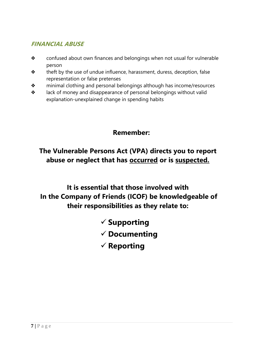## **FINANCIAL ABUSE**

- ❖ confused about own finances and belongings when not usual for vulnerable person
- ❖ theft by the use of undue influence, harassment, duress, deception, false representation or false pretenses
- ❖ minimal clothing and personal belongings although has income/resources
- ❖ lack of money and disappearance of personal belongings without valid explanation-unexplained change in spending habits

# **Remember:**

# **The Vulnerable Persons Act (VPA) directs you to report abuse or neglect that has occurred or is suspected.**

# **It is essential that those involved with In the Company of Friends (ICOF) be knowledgeable of their responsibilities as they relate to:**

- **Supporting**
- **Documenting**
- **Reporting**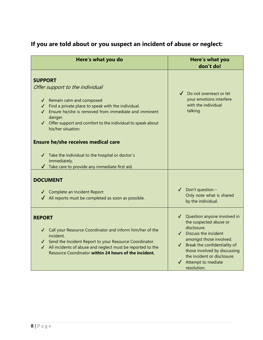| Here's what you do                                                                                                                                                                                                                                                                                                                                                                                                            | Here's what you<br>don't do!                                                                                                                                                                                                                                                                                  |
|-------------------------------------------------------------------------------------------------------------------------------------------------------------------------------------------------------------------------------------------------------------------------------------------------------------------------------------------------------------------------------------------------------------------------------|---------------------------------------------------------------------------------------------------------------------------------------------------------------------------------------------------------------------------------------------------------------------------------------------------------------|
| <b>SUPPORT</b><br>Offer support to the individual<br>√ Remain calm and composed<br>Find a private place to speak with the individual.<br>Ensure he/she is removed from immediate and imminent<br>danger.<br>Offer support and comfort to the individual to speak about<br>$\checkmark$<br>his/her situation.<br><b>Ensure he/she receives medical care</b><br>Take the individual to the hospital or doctor's<br>immediately. | Do not overreact or let<br>your emotions interfere<br>with the individual<br>talking.                                                                                                                                                                                                                         |
| $\sqrt{\phantom{a}}$ Take care to provide any immediate first aid.<br><b>DOCUMENT</b><br>√ Complete an Incident Report<br>All reports must be completed as soon as possible.                                                                                                                                                                                                                                                  | Don't question -<br>Only note what is shared<br>by the individual.                                                                                                                                                                                                                                            |
| <b>REPORT</b><br>√ Call your Resource Coordinator and inform him/her of the<br>incident.<br>√ Send the Incident Report to your Resource Coordinator.<br>All incidents of abuse and neglect must be reported to the<br>$\checkmark$<br>Resource Coordinator within 24 hours of the incident.                                                                                                                                   | √ Question anyone involved in<br>the suspected abuse or<br>disclosure.<br>Discuss the incident<br>$\checkmark$<br>amongst those involved.<br>Break the confidentiality of<br>$\checkmark$<br>those involved by discussing<br>the incident or disclosure.<br>Attempt to mediate<br>$\checkmark$<br>resolution. |

# **If you are told about or you suspect an incident of abuse or neglect:**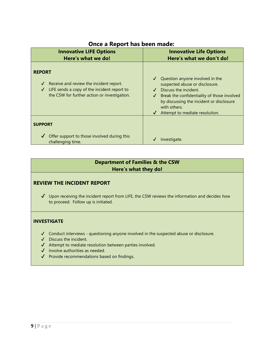| <b>Innovative LIFE Options</b><br>Here's what we do!                                                                                                                                    | <b>Innovative Life Options</b><br>Here's what we don't do!                                                                                                                                                                                                           |
|-----------------------------------------------------------------------------------------------------------------------------------------------------------------------------------------|----------------------------------------------------------------------------------------------------------------------------------------------------------------------------------------------------------------------------------------------------------------------|
| <b>REPORT</b><br>Receive and review the incident report.<br>$\checkmark$<br>LIFE sends a copy of the incident report to<br>$\checkmark$<br>the CSW for further action or investigation. | Question anyone involved in the<br>$\checkmark$<br>suspected abuse or disclosure.<br>Discuss the incident.<br>Break the confidentiality of those involved<br>by discussing the incident or disclosure<br>with others.<br>$\checkmark$ Attempt to mediate resolution. |
| <b>SUPPORT</b>                                                                                                                                                                          |                                                                                                                                                                                                                                                                      |
| Offer support to those involved during this<br>challenging time.                                                                                                                        | Investigate.                                                                                                                                                                                                                                                         |

### **Once a Report has been made:**

#### **Department of Families & the CSW Here's what they do!**

#### **REVIEW THE INCIDENT REPORT**

 $\checkmark$  Upon receiving the incident report from LIFE, the CSW reviews the information and decides how to proceed. Follow up is initiated.

#### **INVESTIGATE**

- ✔ Conduct interviews questioning anyone involved in the suspected abuse or disclosure.
- ✔ Discuss the incident.
- ✔ Attempt to mediate resolution between parties involved.
- ✔ Involve authorities as needed.
- ✔ Provide recommendations based on findings.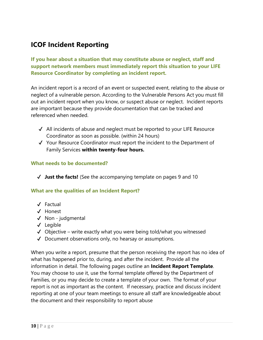## **ICOF Incident Reporting**

**If you hear about a situation that may constitute abuse or neglect, staff and support network members must immediately report this situation to your LIFE Resource Coordinator by completing an incident report.**

An incident report is a record of an event or suspected event, relating to the abuse or neglect of a vulnerable person. According to the Vulnerable Persons Act you must fill out an incident report when you know, or suspect abuse or neglect. Incident reports are important because they provide documentation that can be tracked and referenced when needed.

- ✔ All incidents of abuse and neglect must be reported to your LIFE Resource Coordinator as soon as possible. (within 24 hours)
- ✔ Your Resource Coordinator must report the incident to the Department of Family Services **within twenty-four hours.**

#### **What needs to be documented?**

✔ **Just the facts!** (See the accompanying template on pages 9 and 10

#### **What are the qualities of an Incident Report?**

- ✔ Factual
- ✔ Honest
- ✔ Non judgmental
- ✔ Legible
- $\checkmark$  Objective write exactly what you were being told/what you witnessed
- ✔ Document observations only, no hearsay or assumptions.

When you write a report, presume that the person receiving the report has no idea of what has happened prior to, during, and after the incident. Provide all the information in detail. The following pages outline an **Incident Report Template**. You may choose to use it, use the formal template offered by the Department of Families, or you may decide to create a template of your own. The format of your report is not as important as the content. If necessary, practice and discuss incident reporting at one of your team meetings to ensure all staff are knowledgeable about the document and their responsibility to report abuse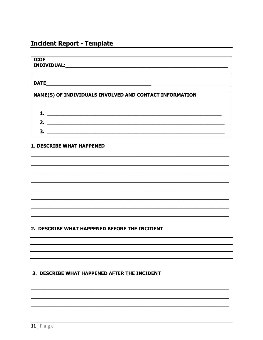## **Incident Report - Template**

#### **ICOF**

#### **DATE DATE**

#### NAME(S) OF INDIVIDUALS INVOLVED AND CONTACT INFORMATION



#### **1. DESCRIBE WHAT HAPPENED**

#### 2. DESCRIBE WHAT HAPPENED BEFORE THE INCIDENT

#### 3. DESCRIBE WHAT HAPPENED AFTER THE INCIDENT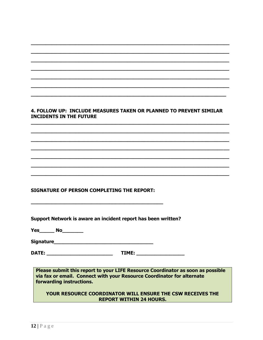#### 4. FOLLOW UP: INCLUDE MEASURES TAKEN OR PLANNED TO PREVENT SIMILAR **INCIDENTS IN THE FUTURE**

**SIGNATURE OF PERSON COMPLETING THE REPORT:** 

Support Network is aware an incident report has been written?

DATE: TIME:

Please submit this report to your LIFE Resource Coordinator as soon as possible via fax or email. Connect with your Resource Coordinator for alternate forwarding instructions.

YOUR RESOURCE COORDINATOR WILL ENSURE THE CSW RECEIVES THE **REPORT WITHIN 24 HOURS.**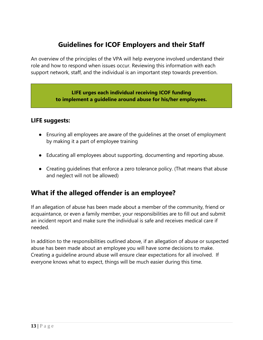# **Guidelines for ICOF Employers and their Staff**

An overview of the principles of the VPA will help everyone involved understand their role and how to respond when issues occur. Reviewing this information with each support network, staff, and the individual is an important step towards prevention.

#### **LIFE urges each individual receiving ICOF funding to implement a guideline around abuse for his/her employees.**

#### **LIFE suggests:**

- Ensuring all employees are aware of the guidelines at the onset of employment by making it a part of employee training
- Educating all employees about supporting, documenting and reporting abuse.
- Creating guidelines that enforce a zero tolerance policy. (That means that abuse and neglect will not be allowed)

## **What if the alleged offender is an employee?**

If an allegation of abuse has been made about a member of the community, friend or acquaintance, or even a family member, your responsibilities are to fill out and submit an incident report and make sure the individual is safe and receives medical care if needed.

In addition to the responsibilities outlined above, if an allegation of abuse or suspected abuse has been made about an employee you will have some decisions to make. Creating a guideline around abuse will ensure clear expectations for all involved. If everyone knows what to expect, things will be much easier during this time.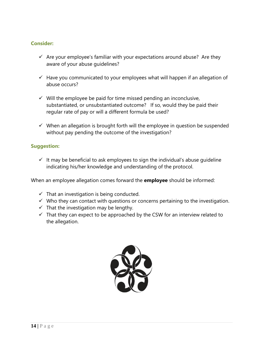#### **Consider:**

- $\checkmark$  Are your employee's familiar with your expectations around abuse? Are they aware of your abuse guidelines?
- $\checkmark$  Have you communicated to your employees what will happen if an allegation of abuse occurs?
- $\checkmark$  Will the employee be paid for time missed pending an inconclusive, substantiated, or unsubstantiated outcome? If so, would they be paid their regular rate of pay or will a different formula be used?
- $\checkmark$  When an allegation is brought forth will the employee in question be suspended without pay pending the outcome of the investigation?

#### **Suggestion:**

 $\checkmark$  It may be beneficial to ask employees to sign the individual's abuse quideline indicating his/her knowledge and understanding of the protocol.

When an employee allegation comes forward the **employee** should be informed:

- $\checkmark$  That an investigation is being conducted.
- $\checkmark$  Who they can contact with questions or concerns pertaining to the investigation.
- $\checkmark$  That the investigation may be lengthy.
- $\checkmark$  That they can expect to be approached by the CSW for an interview related to the allegation.

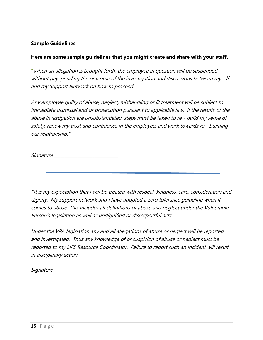#### **Sample Guidelines**

#### **Here are some sample guidelines that you might create and share with your staff.**

**"**When an allegation is brought forth, the employee in question will be suspended without pay, pending the outcome of the investigation and discussions between myself and my Support Network on how to proceed.

Any employee guilty of abuse, neglect, mishandling or ill treatment will be subject to immediate dismissal and or prosecution pursuant to applicable law. If the results of the abuse investigation are unsubstantiated, steps must be taken to re - build my sense of safety, renew my trust and confidence in the employee, and work towards re - building our relationship."

Signature \_\_\_\_\_\_\_\_\_\_\_\_\_\_\_\_\_\_\_\_\_\_\_\_\_\_\_\_\_\_

**"**It is my expectation that I will be treated with respect, kindness, care, consideration and dignity. My support network and I have adopted a zero tolerance guideline when it comes to abuse. This includes all definitions of abuse and neglect under the Vulnerable Person's legislation as well as undignified or disrespectful acts.

Under the VPA legislation any and all allegations of abuse or neglect will be reported and investigated. Thus any knowledge of or suspicion of abuse or neglect must be reported to my LIFE Resource Coordinator. Failure to report such an incident will result in disciplinary action.

Signature